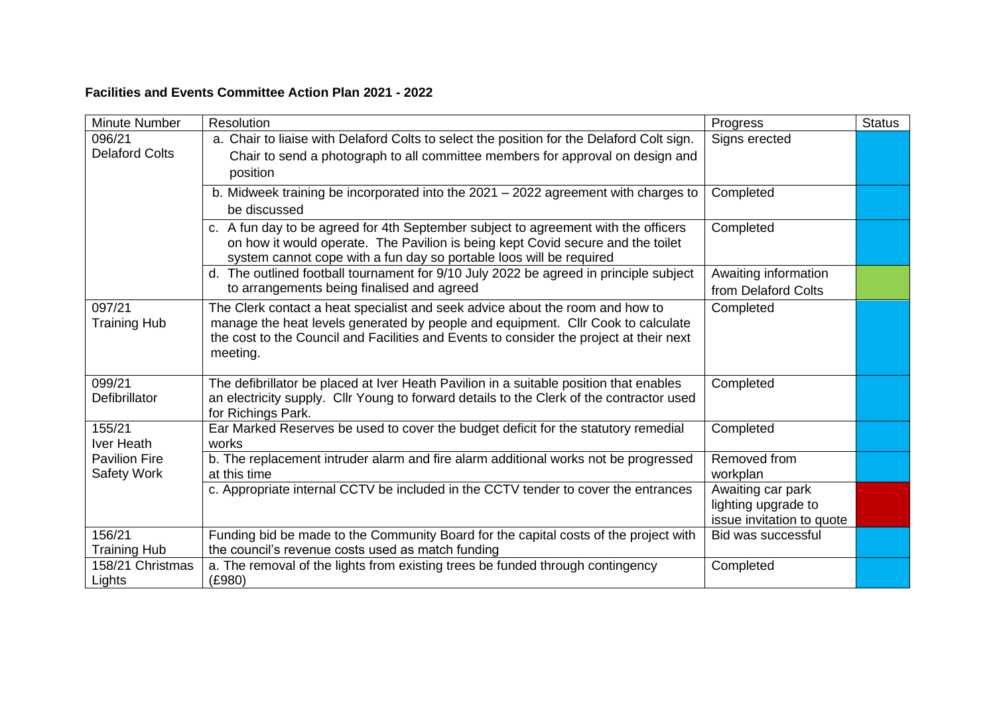## **Facilities and Events Committee Action Plan 2021 - 2022**

| Minute Number                           | Resolution                                                                                                                                             | Progress                  | <b>Status</b> |
|-----------------------------------------|--------------------------------------------------------------------------------------------------------------------------------------------------------|---------------------------|---------------|
| 096/21                                  | a. Chair to liaise with Delaford Colts to select the position for the Delaford Colt sign.                                                              | Signs erected             |               |
| <b>Delaford Colts</b>                   | Chair to send a photograph to all committee members for approval on design and                                                                         |                           |               |
|                                         | position                                                                                                                                               |                           |               |
|                                         | b. Midweek training be incorporated into the 2021 - 2022 agreement with charges to                                                                     | Completed                 |               |
|                                         | be discussed                                                                                                                                           |                           |               |
|                                         | c. A fun day to be agreed for 4th September subject to agreement with the officers                                                                     | Completed                 |               |
|                                         | on how it would operate. The Pavilion is being kept Covid secure and the toilet<br>system cannot cope with a fun day so portable loos will be required |                           |               |
|                                         | d. The outlined football tournament for 9/10 July 2022 be agreed in principle subject                                                                  | Awaiting information      |               |
|                                         | to arrangements being finalised and agreed                                                                                                             | from Delaford Colts       |               |
| 097/21                                  | The Clerk contact a heat specialist and seek advice about the room and how to                                                                          | Completed                 |               |
| <b>Training Hub</b>                     | manage the heat levels generated by people and equipment. Cllr Cook to calculate                                                                       |                           |               |
|                                         | the cost to the Council and Facilities and Events to consider the project at their next<br>meeting.                                                    |                           |               |
|                                         |                                                                                                                                                        |                           |               |
| 099/21                                  | The defibrillator be placed at Iver Heath Pavilion in a suitable position that enables                                                                 | Completed                 |               |
| Defibrillator                           | an electricity supply. Cllr Young to forward details to the Clerk of the contractor used                                                               |                           |               |
|                                         | for Richings Park.                                                                                                                                     |                           |               |
| 155/21<br>Iver Heath                    | Ear Marked Reserves be used to cover the budget deficit for the statutory remedial<br>works                                                            | Completed                 |               |
| <b>Pavilion Fire</b>                    | b. The replacement intruder alarm and fire alarm additional works not be progressed                                                                    | Removed from              |               |
| <b>Safety Work</b>                      | at this time                                                                                                                                           | workplan                  |               |
|                                         | c. Appropriate internal CCTV be included in the CCTV tender to cover the entrances                                                                     | Awaiting car park         |               |
|                                         |                                                                                                                                                        | lighting upgrade to       |               |
|                                         |                                                                                                                                                        | issue invitation to quote |               |
| 156/21                                  | Funding bid be made to the Community Board for the capital costs of the project with                                                                   | <b>Bid was successful</b> |               |
| <b>Training Hub</b><br>158/21 Christmas | the council's revenue costs used as match funding<br>a. The removal of the lights from existing trees be funded through contingency                    | Completed                 |               |
| Lights                                  | (E980)                                                                                                                                                 |                           |               |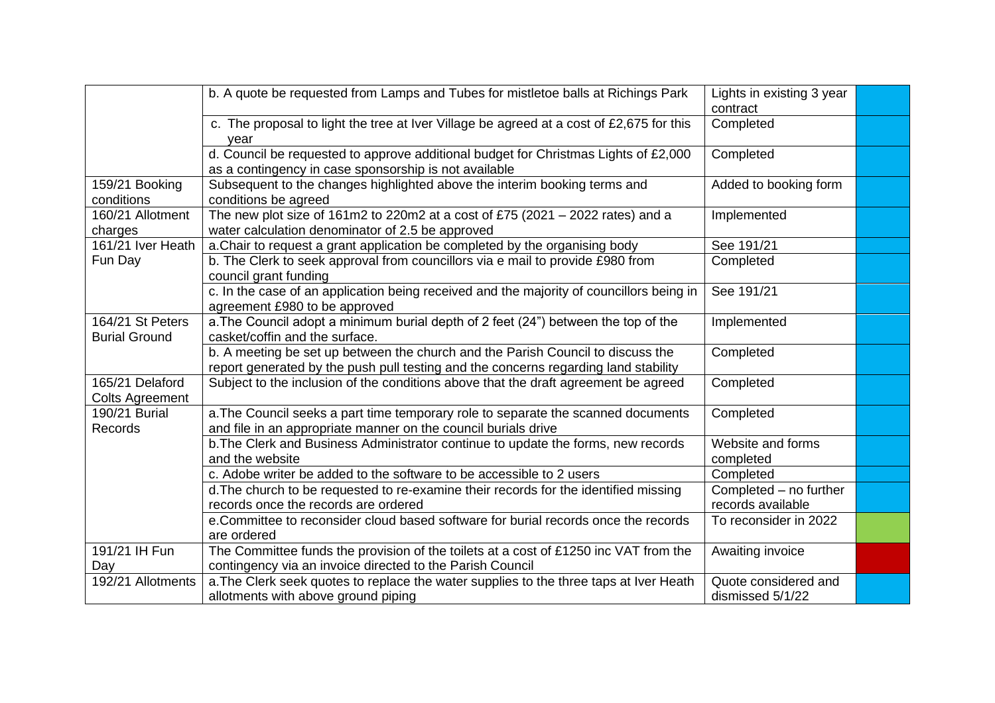|                                           | b. A quote be requested from Lamps and Tubes for mistletoe balls at Richings Park                                                                                      | Lights in existing 3 year<br>contract       |  |
|-------------------------------------------|------------------------------------------------------------------------------------------------------------------------------------------------------------------------|---------------------------------------------|--|
|                                           | c. The proposal to light the tree at Iver Village be agreed at a cost of £2,675 for this<br>year                                                                       | Completed                                   |  |
|                                           | d. Council be requested to approve additional budget for Christmas Lights of £2,000<br>as a contingency in case sponsorship is not available                           | Completed                                   |  |
| 159/21 Booking<br>conditions              | Subsequent to the changes highlighted above the interim booking terms and<br>conditions be agreed                                                                      | Added to booking form                       |  |
| 160/21 Allotment<br>charges               | The new plot size of 161m2 to 220m2 at a cost of £75 (2021 $-$ 2022 rates) and a<br>water calculation denominator of 2.5 be approved                                   | Implemented                                 |  |
| 161/21 Iver Heath                         | a. Chair to request a grant application be completed by the organising body                                                                                            | See 191/21                                  |  |
| Fun Day                                   | b. The Clerk to seek approval from councillors via e mail to provide £980 from<br>council grant funding                                                                | Completed                                   |  |
|                                           | c. In the case of an application being received and the majority of councillors being in<br>agreement £980 to be approved                                              | See 191/21                                  |  |
| 164/21 St Peters<br><b>Burial Ground</b>  | a. The Council adopt a minimum burial depth of 2 feet (24") between the top of the<br>casket/coffin and the surface.                                                   | Implemented                                 |  |
|                                           | b. A meeting be set up between the church and the Parish Council to discuss the<br>report generated by the push pull testing and the concerns regarding land stability | Completed                                   |  |
| 165/21 Delaford<br><b>Colts Agreement</b> | Subject to the inclusion of the conditions above that the draft agreement be agreed                                                                                    | Completed                                   |  |
| 190/21 Burial<br>Records                  | a. The Council seeks a part time temporary role to separate the scanned documents<br>and file in an appropriate manner on the council burials drive                    | Completed                                   |  |
|                                           | b. The Clerk and Business Administrator continue to update the forms, new records<br>and the website                                                                   | Website and forms<br>completed              |  |
|                                           | c. Adobe writer be added to the software to be accessible to 2 users                                                                                                   | Completed                                   |  |
|                                           | d. The church to be requested to re-examine their records for the identified missing<br>records once the records are ordered                                           | Completed - no further<br>records available |  |
|                                           | e.Committee to reconsider cloud based software for burial records once the records<br>are ordered                                                                      | To reconsider in 2022                       |  |
| 191/21 IH Fun<br>Day                      | The Committee funds the provision of the toilets at a cost of £1250 inc VAT from the<br>contingency via an invoice directed to the Parish Council                      | Awaiting invoice                            |  |
| 192/21 Allotments                         | a. The Clerk seek quotes to replace the water supplies to the three taps at Iver Heath<br>allotments with above ground piping                                          | Quote considered and<br>dismissed 5/1/22    |  |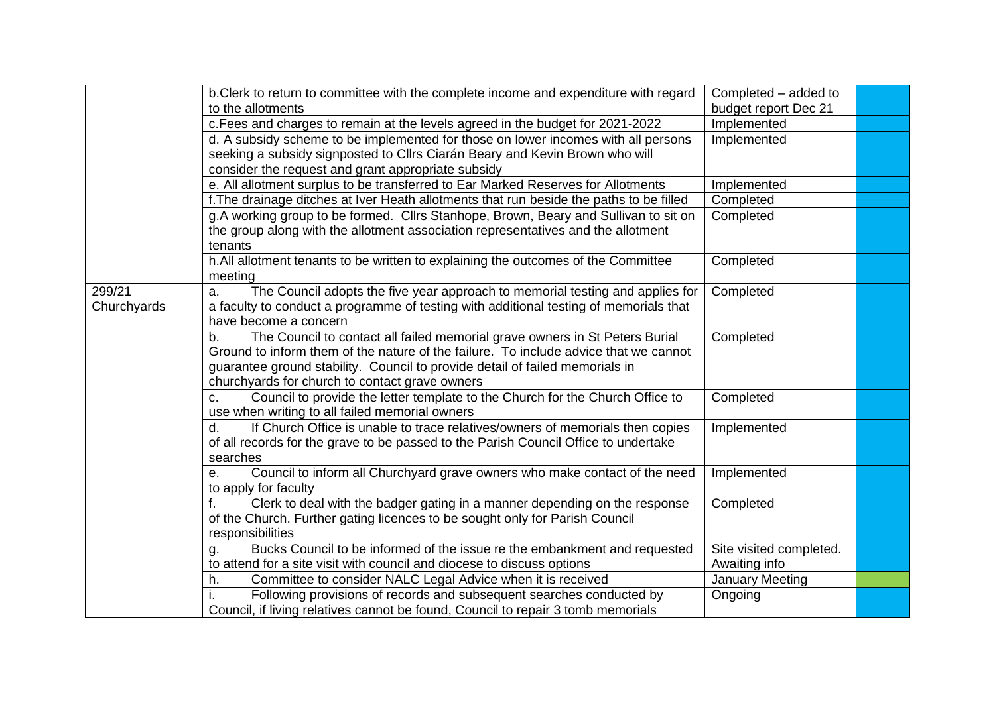|             | b.Clerk to return to committee with the complete income and expenditure with regard     | Completed - added to    |  |
|-------------|-----------------------------------------------------------------------------------------|-------------------------|--|
|             | to the allotments                                                                       | budget report Dec 21    |  |
|             | c. Fees and charges to remain at the levels agreed in the budget for 2021-2022          | Implemented             |  |
|             | d. A subsidy scheme to be implemented for those on lower incomes with all persons       | Implemented             |  |
|             | seeking a subsidy signposted to Cllrs Ciarán Beary and Kevin Brown who will             |                         |  |
|             | consider the request and grant appropriate subsidy                                      |                         |  |
|             | e. All allotment surplus to be transferred to Ear Marked Reserves for Allotments        | Implemented             |  |
|             | f. The drainage ditches at Iver Heath allotments that run beside the paths to be filled | Completed               |  |
|             | g.A working group to be formed. Cllrs Stanhope, Brown, Beary and Sullivan to sit on     | Completed               |  |
|             | the group along with the allotment association representatives and the allotment        |                         |  |
|             | tenants                                                                                 |                         |  |
|             | h.All allotment tenants to be written to explaining the outcomes of the Committee       | Completed               |  |
|             | meeting                                                                                 |                         |  |
| 299/21      | The Council adopts the five year approach to memorial testing and applies for<br>a.     | Completed               |  |
| Churchyards | a faculty to conduct a programme of testing with additional testing of memorials that   |                         |  |
|             | have become a concern                                                                   |                         |  |
|             | The Council to contact all failed memorial grave owners in St Peters Burial<br>b.       | Completed               |  |
|             | Ground to inform them of the nature of the failure. To include advice that we cannot    |                         |  |
|             | guarantee ground stability. Council to provide detail of failed memorials in            |                         |  |
|             | churchyards for church to contact grave owners                                          |                         |  |
|             | Council to provide the letter template to the Church for the Church Office to<br>c.     | Completed               |  |
|             | use when writing to all failed memorial owners                                          |                         |  |
|             | If Church Office is unable to trace relatives/owners of memorials then copies<br>d.     | Implemented             |  |
|             | of all records for the grave to be passed to the Parish Council Office to undertake     |                         |  |
|             | searches                                                                                |                         |  |
|             | Council to inform all Churchyard grave owners who make contact of the need<br>е.        | Implemented             |  |
|             | to apply for faculty                                                                    |                         |  |
|             | Clerk to deal with the badger gating in a manner depending on the response              | Completed               |  |
|             | of the Church. Further gating licences to be sought only for Parish Council             |                         |  |
|             | responsibilities                                                                        |                         |  |
|             | Bucks Council to be informed of the issue re the embankment and requested<br>g.         | Site visited completed. |  |
|             | to attend for a site visit with council and diocese to discuss options                  | Awaiting info           |  |
|             | Committee to consider NALC Legal Advice when it is received<br>h.                       | <b>January Meeting</b>  |  |
|             | Following provisions of records and subsequent searches conducted by                    | Ongoing                 |  |
|             | Council, if living relatives cannot be found, Council to repair 3 tomb memorials        |                         |  |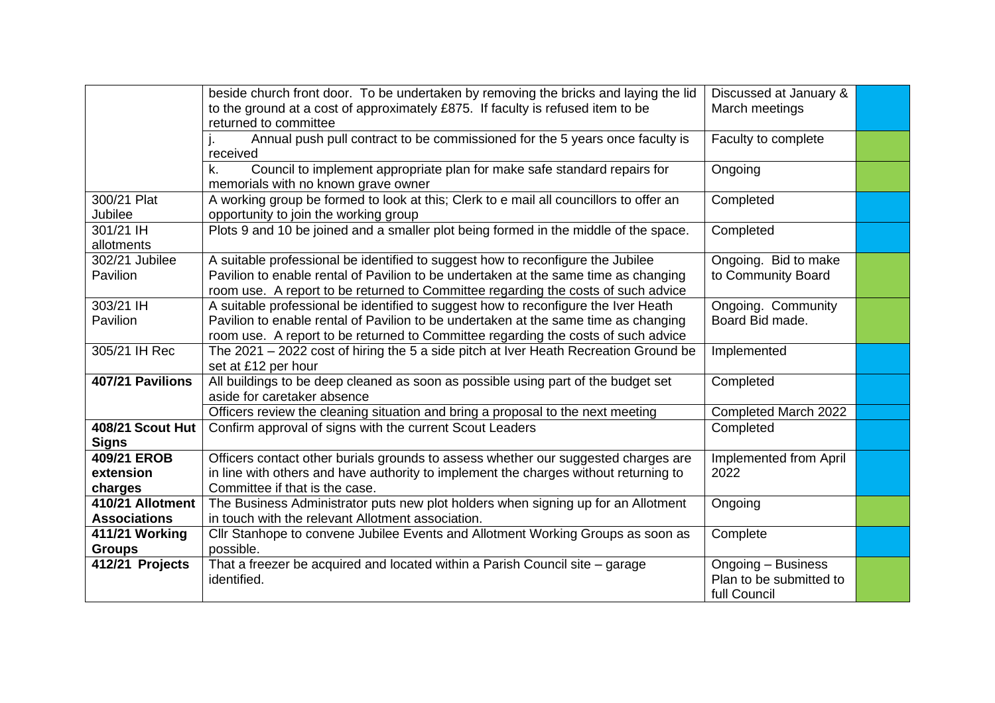|                                 | beside church front door. To be undertaken by removing the bricks and laying the lid                                                   | Discussed at January &  |  |
|---------------------------------|----------------------------------------------------------------------------------------------------------------------------------------|-------------------------|--|
|                                 | to the ground at a cost of approximately £875. If faculty is refused item to be<br>returned to committee                               | March meetings          |  |
|                                 | Annual push pull contract to be commissioned for the 5 years once faculty is                                                           |                         |  |
|                                 | received                                                                                                                               | Faculty to complete     |  |
|                                 | Council to implement appropriate plan for make safe standard repairs for<br>k.                                                         | Ongoing                 |  |
|                                 | memorials with no known grave owner                                                                                                    |                         |  |
| 300/21 Plat                     | A working group be formed to look at this; Clerk to e mail all councillors to offer an                                                 | Completed               |  |
| Jubilee                         | opportunity to join the working group                                                                                                  |                         |  |
| 301/21 IH                       | Plots 9 and 10 be joined and a smaller plot being formed in the middle of the space.                                                   | Completed               |  |
| allotments                      |                                                                                                                                        |                         |  |
| 302/21 Jubilee                  | A suitable professional be identified to suggest how to reconfigure the Jubilee                                                        | Ongoing. Bid to make    |  |
| Pavilion                        | Pavilion to enable rental of Pavilion to be undertaken at the same time as changing                                                    | to Community Board      |  |
|                                 | room use. A report to be returned to Committee regarding the costs of such advice                                                      |                         |  |
| 303/21 IH                       | A suitable professional be identified to suggest how to reconfigure the Iver Heath                                                     | Ongoing. Community      |  |
| Pavilion                        | Pavilion to enable rental of Pavilion to be undertaken at the same time as changing                                                    | Board Bid made.         |  |
|                                 | room use. A report to be returned to Committee regarding the costs of such advice                                                      |                         |  |
| 305/21 IH Rec                   | The 2021 - 2022 cost of hiring the 5 a side pitch at Iver Heath Recreation Ground be                                                   | Implemented             |  |
|                                 | set at £12 per hour                                                                                                                    |                         |  |
| 407/21 Pavilions                | All buildings to be deep cleaned as soon as possible using part of the budget set                                                      | Completed               |  |
|                                 | aside for caretaker absence                                                                                                            |                         |  |
|                                 | Officers review the cleaning situation and bring a proposal to the next meeting                                                        | Completed March 2022    |  |
| <b>408/21 Scout Hut</b>         | Confirm approval of signs with the current Scout Leaders                                                                               | Completed               |  |
| <b>Signs</b>                    |                                                                                                                                        |                         |  |
| 409/21 EROB                     | Officers contact other burials grounds to assess whether our suggested charges are                                                     | Implemented from April  |  |
| extension                       | in line with others and have authority to implement the charges without returning to                                                   | 2022                    |  |
| charges<br>410/21 Allotment     | Committee if that is the case.                                                                                                         |                         |  |
| <b>Associations</b>             | The Business Administrator puts new plot holders when signing up for an Allotment<br>in touch with the relevant Allotment association. | Ongoing                 |  |
|                                 |                                                                                                                                        |                         |  |
| 411/21 Working<br><b>Groups</b> | Cllr Stanhope to convene Jubilee Events and Allotment Working Groups as soon as<br>possible.                                           | Complete                |  |
| 412/21 Projects                 | That a freezer be acquired and located within a Parish Council site - garage                                                           | Ongoing - Business      |  |
|                                 | identified.                                                                                                                            | Plan to be submitted to |  |
|                                 |                                                                                                                                        | full Council            |  |
|                                 |                                                                                                                                        |                         |  |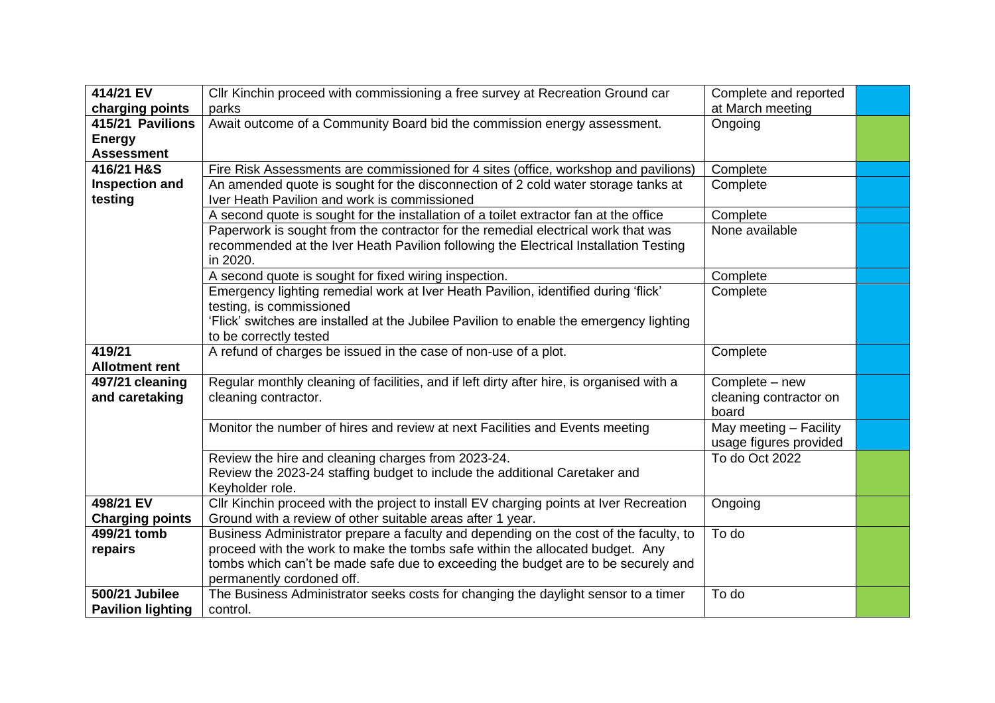| 414/21 EV                             | Cllr Kinchin proceed with commissioning a free survey at Recreation Ground car                                                                                     | Complete and reported  |  |
|---------------------------------------|--------------------------------------------------------------------------------------------------------------------------------------------------------------------|------------------------|--|
| charging points                       | parks                                                                                                                                                              | at March meeting       |  |
| 415/21 Pavilions                      | Await outcome of a Community Board bid the commission energy assessment.                                                                                           | Ongoing                |  |
| <b>Energy</b>                         |                                                                                                                                                                    |                        |  |
| <b>Assessment</b>                     |                                                                                                                                                                    |                        |  |
| 416/21 H&S                            | Fire Risk Assessments are commissioned for 4 sites (office, workshop and pavilions)                                                                                | Complete               |  |
| <b>Inspection and</b>                 | An amended quote is sought for the disconnection of 2 cold water storage tanks at                                                                                  | Complete               |  |
| testing                               | Iver Heath Pavilion and work is commissioned                                                                                                                       |                        |  |
|                                       | A second quote is sought for the installation of a toilet extractor fan at the office                                                                              | Complete               |  |
|                                       | Paperwork is sought from the contractor for the remedial electrical work that was                                                                                  | None available         |  |
|                                       | recommended at the Iver Heath Pavilion following the Electrical Installation Testing                                                                               |                        |  |
|                                       | in 2020.                                                                                                                                                           |                        |  |
|                                       | A second quote is sought for fixed wiring inspection.                                                                                                              | Complete               |  |
|                                       | Emergency lighting remedial work at Iver Heath Pavilion, identified during 'flick'                                                                                 | Complete               |  |
|                                       | testing, is commissioned                                                                                                                                           |                        |  |
|                                       | 'Flick' switches are installed at the Jubilee Pavilion to enable the emergency lighting                                                                            |                        |  |
|                                       | to be correctly tested                                                                                                                                             |                        |  |
| 419/21                                | A refund of charges be issued in the case of non-use of a plot.                                                                                                    | Complete               |  |
| <b>Allotment rent</b>                 |                                                                                                                                                                    |                        |  |
| 497/21 cleaning                       | Regular monthly cleaning of facilities, and if left dirty after hire, is organised with a                                                                          | Complete - new         |  |
| and caretaking                        | cleaning contractor.                                                                                                                                               | cleaning contractor on |  |
|                                       |                                                                                                                                                                    | board                  |  |
|                                       | Monitor the number of hires and review at next Facilities and Events meeting                                                                                       | May meeting - Facility |  |
|                                       |                                                                                                                                                                    | usage figures provided |  |
|                                       | Review the hire and cleaning charges from 2023-24.                                                                                                                 | To do Oct 2022         |  |
|                                       | Review the 2023-24 staffing budget to include the additional Caretaker and                                                                                         |                        |  |
| 498/21 EV                             | Keyholder role.                                                                                                                                                    |                        |  |
|                                       | Cllr Kinchin proceed with the project to install EV charging points at Iver Recreation                                                                             | Ongoing                |  |
| <b>Charging points</b><br>499/21 tomb | Ground with a review of other suitable areas after 1 year.                                                                                                         | To do                  |  |
|                                       | Business Administrator prepare a faculty and depending on the cost of the faculty, to                                                                              |                        |  |
| repairs                               | proceed with the work to make the tombs safe within the allocated budget. Any<br>tombs which can't be made safe due to exceeding the budget are to be securely and |                        |  |
|                                       |                                                                                                                                                                    |                        |  |
| <b>500/21 Jubilee</b>                 | permanently cordoned off.<br>The Business Administrator seeks costs for changing the daylight sensor to a timer                                                    | To do                  |  |
| <b>Pavilion lighting</b>              | control.                                                                                                                                                           |                        |  |
|                                       |                                                                                                                                                                    |                        |  |